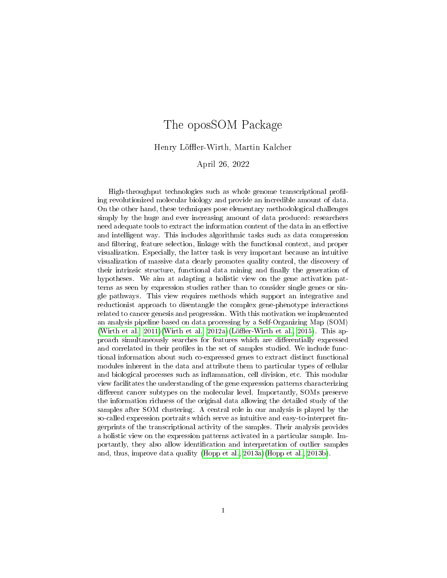# The oposSOM Package

Henry Löffler-Wirth, Martin Kalcher

April 26, 2022

High-throughput technologies such as whole genome transcriptional profiling revolutionized molecular biology and provide an incredible amount of data. On the other hand, these techniques pose elementary methodological challenges simply by the huge and ever increasing amount of data produced: researchers need adequate tools to extract the information content of the data in an effective and intelligent way. This includes algorithmic tasks such as data compression and filtering, feature selection, linkage with the functional context, and proper visualization. Especially, the latter task is very important because an intuitive visualization of massive data clearly promotes quality control, the discovery of their intrinsic structure, functional data mining and finally the generation of hypotheses. We aim at adapting a holistic view on the gene activation patterns as seen by expression studies rather than to consider single genes or single pathways. This view requires methods which support an integrative and reductionist approach to disentangle the complex gene-phenotype interactions related to cancer genesis and progression. With this motivation we implemented an analysis pipeline based on data processing by a Self-Organizing Map (SOM) (Wirth et al.,  $2011$ )(Wirth et al.,  $2012a$ )(Löffler-Wirth et al.,  $2015$ ). This approach simultaneously searches for features which are dierentially expressed and correlated in their profiles in the set of samples studied. We include functional information about such co-expressed genes to extract distinct functional modules inherent in the data and attribute them to particular types of cellular and biological processes such as inflammation, cell division, etc. This modular view facilitates the understanding of the gene expression patterns characterizing different cancer subtypes on the molecular level. Importantly, SOMs preserve the information richness of the original data allowing the detailed study of the samples after SOM clustering. A central role in our analysis is played by the so-called expression portraits which serve as intuitive and easy-to-interpret fingerprints of the transcriptional activity of the samples. Their analysis provides a holistic view on the expression patterns activated in a particular sample. Importantly, they also allow identification and interpretation of outlier samples and, thus, improve data quality [\(Hopp et al., 2013a\)](#page-14-3)[\(Hopp et al., 2013b\)](#page-14-4).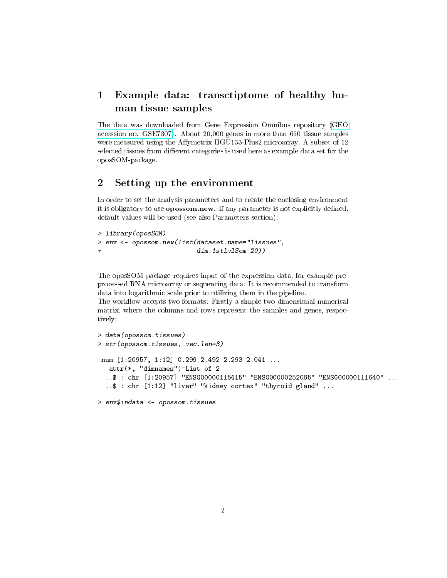# 1 Example data: transctiptome of healthy human tissue samples

The data was downloaded from Gene Expression Omnibus repository [\(GEO](http://www.ncbi.nlm.nih.gov/geo/query/acc.cgi?acc=GSE7307) [accession no. GSE7307\)](http://www.ncbi.nlm.nih.gov/geo/query/acc.cgi?acc=GSE7307). About 20,000 genes in more than 650 tissue samples were measured using the Affymetrix HGU133-Plus2 microarray. A subset of 12 selected tissues from different categories is used here as example data set for the oposSOM-package.

### 2 Setting up the environment

In order to set the analysis parameters and to create the enclosing environment it is obligatory to use **opossom.new**. If any parameter is not explicitly defined, default values will be used (see also Parameters section):

```
> library(oposSOM)
> env <- opossom.new(list(dataset.name="Tissues",
+ dim.1stLvlSom=20))
```
The oposSOM package requires input of the expression data, for example preprocessed RNA microarray or sequencing data. It is recommended to transform data into logarithmic scale prior to utilizing them in the pipeline.

The workflow accepts two formats: Firstly a simple two-dimensional numerical matrix, where the columns and rows represent the samples and genes, respectively:

```
> data(opossom.tissues)
> str(opossom.tissues, vec.len=3)
num [1:20957, 1:12] 0.299 2.492 2.293 2.041 ...
 - attr(*, "dimnames")=List of 2
  ..$ : chr [1:20957] "ENSG00000115415" "ENSG00000252095" "ENSG00000111640" ...
  ..$ : chr [1:12] "liver" "kidney cortex" "thyroid gland" ...
> env$indata <- opossom.tissues
```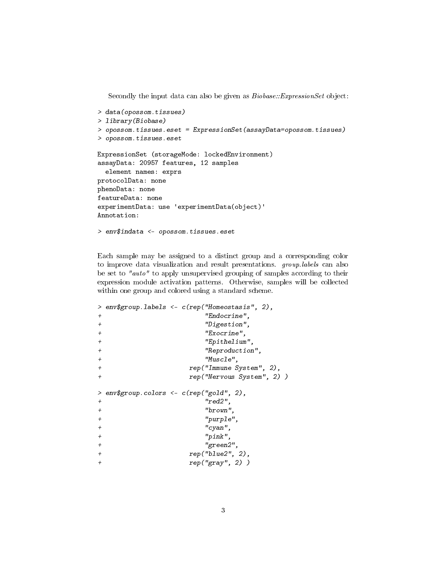Secondly the input data can also be given as  $Biobase::ExpressionSet$  object:

```
> data(opossom.tissues)
> library(Biobase)
> opossom.tissues.eset = ExpressionSet(assayData=opossom.tissues)
> opossom.tissues.eset
ExpressionSet (storageMode: lockedEnvironment)
assayData: 20957 features, 12 samples
  element names: exprs
protocolData: none
phenoData: none
featureData: none
experimentData: use 'experimentData(object)'
Annotation:
> env$indata <- opossom.tissues.eset
```
Each sample may be assigned to a distinct group and a corresponding color to improve data visualization and result presentations. group.labels can also be set to "auto" to apply unsupervised grouping of samples according to their expression module activation patterns. Otherwise, samples will be collected within one group and colored using a standard scheme.

```
> env$group.labels <- c(rep("Homeostasis", 2),
+ "Endocrine",
+ "Digestion",
+ "Exocrine",
+ "Epithelium",
+ "Reproduction",
+ "Muscle",
+ rep("Immune System", 2),
+ rep("Nervous System", 2) )
> env$group.colors <- c(rep("gold", 2),
+ "red2",
+ "brown",
+ "purple",
+ "cyan",
+ "pink",
+ "green2",
+ rep("blue2", 2),
+ rep("gray", 2) )
```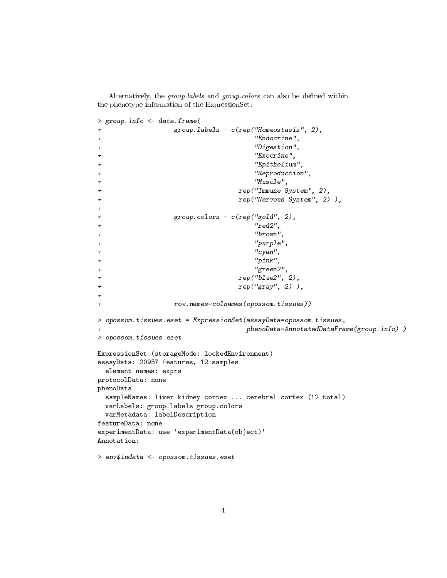Alternatively, the group.labels and group.colors can also be defined within the phenotype information of the ExpressionSet:

```
> group.info <- data.frame(
              group.\nlabel{eq:group} \textit{1} \textit{abels} = c(\textit{rep}(\text{"Homeostasis", 2}),+ "Endocrine",
+ "Digestion",
+ "Exocrine",
+ "Epithelium",
+ "Reproduction",
+ "Muscle",
+ rep("Immune System", 2),
+ rep("Nervous System", 2) ),
+
+ group.colors = c(rep("gold", 2),
                             "red2",+ "brown",
                             "purple",
                             " cyan",
                             "pink",
+ "green2",
+ rep("blue2", 2),
+ rep("gray", 2) ),
+
+ row.names=colnames(opossom.tissues))
> opossom.tissues.eset = ExpressionSet(assayData=opossom.tissues,
                           phenoData=AnnotatedDataFrame(group.info))
> opossom.tissues.eset
ExpressionSet (storageMode: lockedEnvironment)
assayData: 20957 features, 12 samples
 element names: exprs
protocolData: none
phenoData
 sampleNames: liver kidney cortex ... cerebral cortex (12 total)
 varLabels: group.labels group.colors
 varMetadata: labelDescription
featureData: none
experimentData: use 'experimentData(object)'
Annotation:
> env$indata <- opossom.tissues.eset
```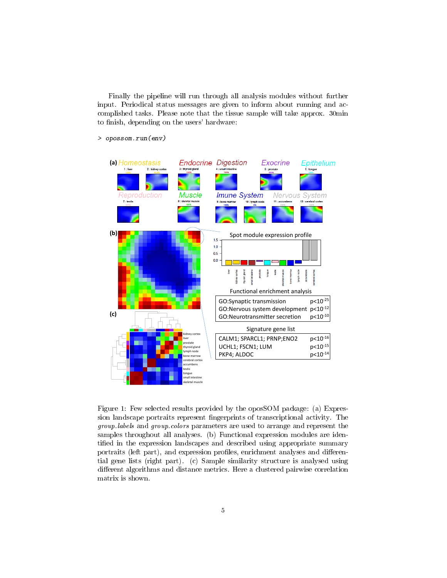Finally the pipeline will run through all analysis modules without further input. Periodical status messages are given to inform about running and accomplished tasks. Please note that the tissue sample will take approx. 30min to finish, depending on the users' hardware:

**(a) Endocrine Digestion** Exocrine Epithelium **Imune System** ?eproductior Muscle **Nervous System** 7 : testis  $10:$  hyn  $11:acc$ 12 : cerebral corte **(b)** Spot module expression profile  $1.5$  $1.0$  $0.5$  $0.0$ thyraid kidney Functional enrichment analysis p<10-25 GO:Synaptic transmission GO:Nervous system development p<10-12 **(c)** GO:Neurotransmitter secretion p<10-10 Signature gene list kidney cortex CALM1; SPARCL1; PRNP;ENO2 p<10-16 liver prostate UCHL1; FSCN1; LUM p<10-15 oid glan mph node PKP4; ALDOC p<10-14 bone marrow cerebral cortex accumbens estis tongue small intestine skeletal muscle

> opossom.run(env)

<span id="page-4-0"></span>Figure 1: Few selected results provided by the oposSOM package: (a) Expression landscape portraits represent fingerprints of transcriptional activity. The group.labels and group.colors parameters are used to arrange and represent the samples throughout all analyses. (b) Functional expression modules are identified in the expression landscapes and described using appropriate summary portraits (left part), and expression profiles, enrichment analyses and differential gene lists (right part). (c) Sample similarity structure is analysed using different algorithms and distance metrics. Here a clustered pairwise correlation matrix is shown.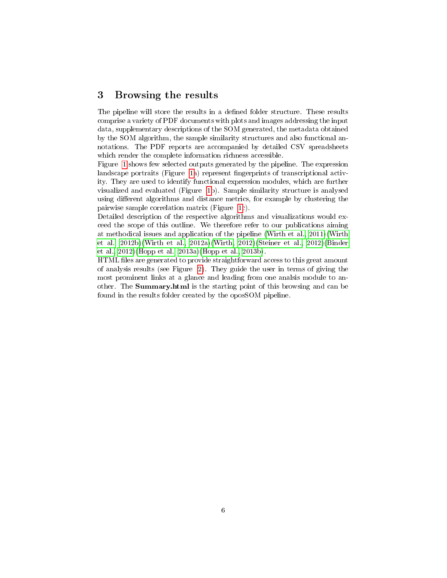#### 3 Browsing the results

The pipeline will store the results in a defined folder structure. These results comprise a variety of PDF documents with plots and images addressing the input data, supplementary descriptions of the SOM generated, the metadata obtained by the SOM algorithm, the sample similarity structures and also functional annotations. The PDF reports are accompanied by detailed CSV spreadsheets which render the complete information richness accessible.

Figure [1](#page-4-0) shows few selected outputs generated by the pipeline. The expression landscape portraits (Figure [1a](#page-4-0)) represent fingerprints of transcriptional activity. They are used to identify functional expression modules, which are further visualized and evaluated (Figure [1b](#page-4-0)). Sample similarity structure is analysed using different algorithms and distance metrics, for example by clustering the pairwise sample correlation matrix (Figure [1c](#page-4-0)).

Detailed description of the respective algorithms and visualizations would exceed the scope of this outline. We therefore refer to our publications aiming at methodical issues and application of the pipeline [\(Wirth et al., 2011\)](#page-14-0)[\(Wirth](#page-14-5) [et al., 2012b\)](#page-14-5)[\(Wirth et al., 2012a\)](#page-14-1)[\(Wirth, 2012\)](#page-14-6)[\(Steiner et al., 2012\)](#page-14-7)[\(Binder](#page-14-8) [et al., 2012\)](#page-14-8)[\(Hopp et al., 2013a\)](#page-14-3)[\(Hopp et al., 2013b\)](#page-14-4).

HTML files are generated to provide straightforward access to this great amount of analysis results (see Figure [2\)](#page-6-0). They guide the user in terms of giving the most prominent links at a glance and leading from one analsis module to another. The Summary.html is the starting point of this browsing and can be found in the results folder created by the oposSOM pipeline.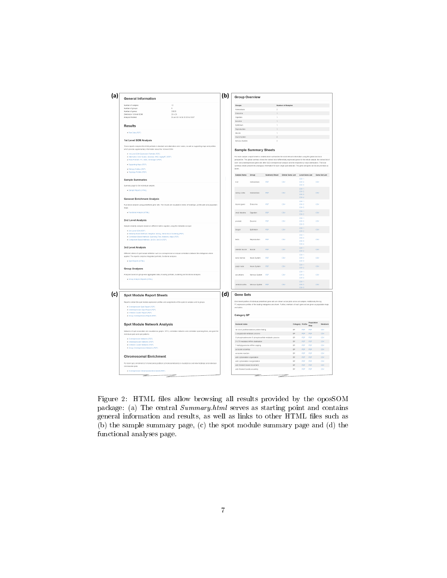

<span id="page-6-0"></span>Figure 2: HTML files allow browsing all results provided by the oposSOM package: (a) The central Summary.html serves as starting point and contains general information and results, as well as links to other HTML files such as (b) the sample summary page, (c) the spot module summary page and (d) the functional analyses page.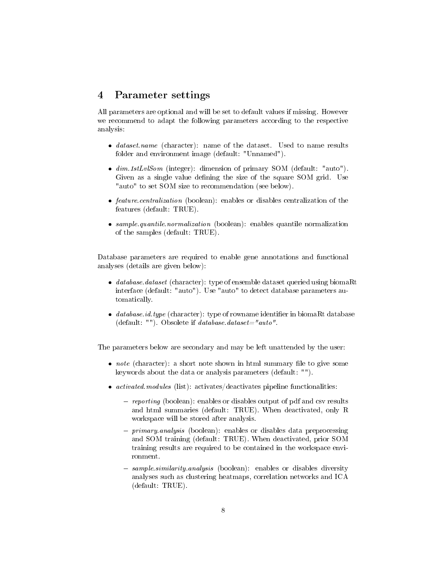### 4 Parameter settings

All parameters are optional and will be set to default values if missing. However we recommend to adapt the following parameters according to the respective analysis:

- *dataset.name* (character): name of the dataset. Used to name results folder and environment image (default: "Unnamed").
- $\bullet$   $dim.1stLvlSom$  (integer): dimension of primary SOM (default: "auto"). Given as a single value defining the size of the square SOM grid. Use "auto" to set SOM size to recommendation (see below).
- feature.centralization (boolean): enables or disables centralization of the features (default: TRUE).
- sample.quantile.normalization (boolean): enables quantile normalization of the samples (default: TRUE).

Database parameters are required to enable gene annotations and functional analyses (details are given below):

- database.dataset (character): type of ensemble dataset queried using biomaRt interface (default: "auto"). Use "auto" to detect database parameters automatically.
- $\bullet$  database.id.type (character): type of rowname identifier in biomaRt database (default:  $"$ ). Obsolete if *database.dataset*="auto".

The parameters below are secondary and may be left unattended by the user:

- $\bullet$  *note* (character): a short note shown in html summary file to give some keywords about the data or analysis parameters (default: "").
- $\bullet$  *activated.modules* (list): activates/deactivates pipeline functionalities:
	- $-$  reporting (boolean): enables or disables output of pdf and csv results and html summaries (default: TRUE). When deactivated, only R workspace will be stored after analysis.
	- $-primary. analysis (boolean): enables or disables data preprocessing$ and SOM training (default: TRUE). When deactivated, prior SOM training results are required to be contained in the workspace environment.
	- sample.similarity.analysis (boolean): enables or disables diversity analyses such as clustering heatmaps, correlation networks and ICA (default: TRUE).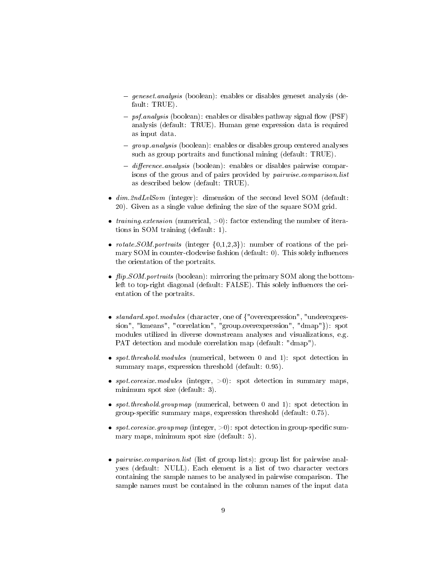- $g$ eneset.analysis (boolean): enables or disables geneset analysis (default: TRUE).
- $-$  psf.analysis (boolean): enables or disables pathway signal flow (PSF) analysis (default: TRUE). Human gene expression data is required as input data.
- $g = \text{group.}$  analysis (boolean): enables or disables group centered analyses such as group portraits and functional mining (default: TRUE).
- $-difference. analysis$  (boolean): enables or disables pairwise comparisons of the grous and of pairs provided by pairwise.comparison.list as described below (default: TRUE).
- $\bullet$   $dim.2ndLvlSom$  (integer): dimension of the second level SOM (default: 20). Given as a single value defining the size of the square SOM grid.
- *training.extension* (numerical,  $>0$ ): factor extending the number of iterations in SOM training (default: 1).
- *rotate.SOM.portraits* (integer  $\{0,1,2,3\}$ ): number of roations of the primary SOM in counter-clockwise fashion (default:  $0$ ). This solely influences the orientation of the portraits.
- $\bullet$  flip. SOM.portraits (boolean): mirroring the primary SOM along the bottomleft to top-right diagonal (default: FALSE). This solely influences the orientation of the portraits.
- standard.spot.modules (character, one of {"overexpression", "underexpression", "kmeans", "correlation", "group.overexpression", "dmap"}): spot modules utilized in diverse downstream analyses and visualizations, e.g. PAT detection and module correlation map (default: "dmap").
- spot.threshold.modules (numerical, between 0 and 1): spot detection in summary maps, expression threshold (default: 0.95).
- spot.coresize.modules (integer,  $>0$ ): spot detection in summary maps, minimum spot size (default: 3).
- spot.threshold.groupmap (numerical, between 0 and 1): spot detection in group-specific summary maps, expression threshold (default: 0.75).
- spot.coresize.groupmap (integer,  $>0$ ): spot detection in group-specific summary maps, minimum spot size (default: 5).
- pairwise.comparison.list (list of group lists): group list for pairwise analyses (default: NULL). Each element is a list of two character vectors containing the sample names to be analysed in pairwise comparison. The sample names must be contained in the column names of the input data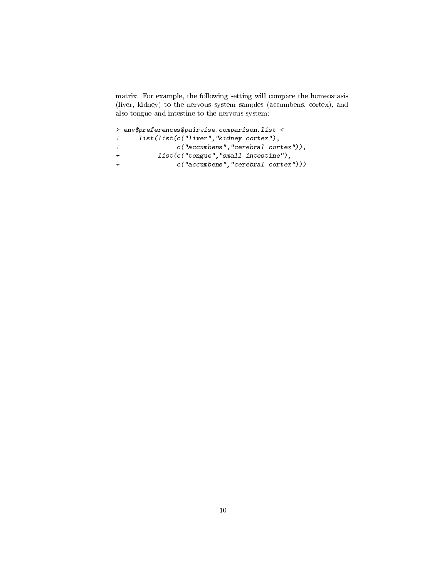matrix. For example, the following setting will compare the homeostasis (liver, kidney) to the nervous system samples (accumbens, cortex), and also tongue and intestine to the nervous system:

```
> env$preferences$pairwise.comparison.list <-
+ list(list(c("liver","kidney cortex"),
+ c("accumbens","cerebral cortex")),
+ list(c("tongue","small intestine"),
              c("accumbens", "cerebral cortex")))
```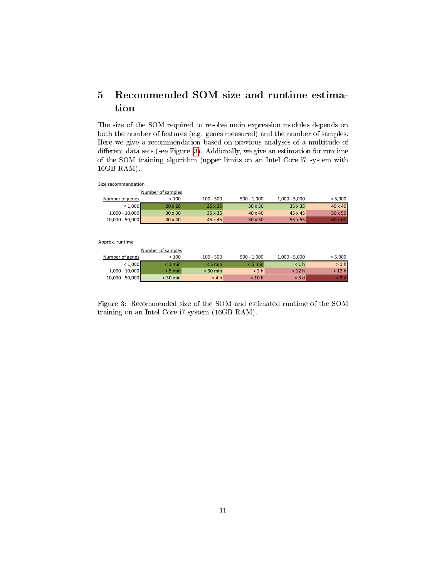# 5 Recommended SOM size and runtime estimation

The size of the SOM required to resolve main expression modules depends on both the number of features (e.g. genes measured) and the number of samples. Here we give a recommendation based on previous analyses of a multitude of different data sets (see Figure [3\)](#page-10-0). Addionally, we give an estimation for runtime of the SOM training algorithm (upper limits on an Intel Core i7 system with 16GB RAM).

Size recommendation

|                   | Number of samples |                |                |                 |                |
|-------------------|-------------------|----------------|----------------|-----------------|----------------|
| Number of genes   | < 100             | $100 - 500$    | $500 - 1,000$  | $1,000 - 5,000$ | > 5,000        |
| < 1,000           | $20 \times 20$    | $25 \times 25$ | $30 \times 30$ | 35 x 35         | $40 \times 40$ |
| $1,000 - 10,000$  | $30 \times 30$    | $35 \times 35$ | $40 \times 40$ | 45 x 45         | 50 x 50        |
| $10,000 - 50,000$ | $40 \times 40$    | 45 x 45        | $50 \times 50$ | $55 \times 55$  | $60 \times 60$ |

Approx. runtime

|                   | Number of samples |             |               |                 |         |
|-------------------|-------------------|-------------|---------------|-----------------|---------|
| Number of genes   | < 100             | $100 - 500$ | $500 - 1.000$ | $1,000 - 5,000$ | > 5,000 |
| < 1,000           | $< 1$ min         | $< 5$ min   | $<$ 5 min     | < 1 h           | >1 h    |
| $1,000 - 10,000$  | $< 5$ min         | $<$ 30 min  | < 2 h         | $<$ 12 h        | $>12$ h |
| $10,000 - 50,000$ | $<$ 30 min        | < 4 h       | < 10 h        | < 3 dl          | . 3 d   |

<span id="page-10-0"></span>Figure 3: Recommended size of the SOM and estimated runtime of the SOM training on an Intel Core i7 system (16GB RAM).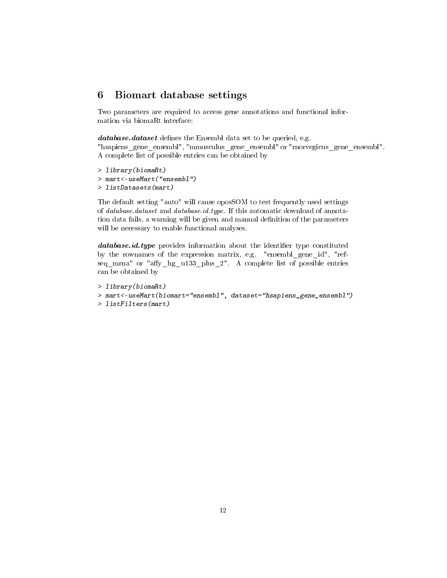### 6 Biomart database settings

Two parameters are required to access gene annotations and functional information via biomaRt interface:

database.dataset defines the Ensembl data set to be queried, e.g.

"hsapiens\_gene\_ensembl", "mmusculus\_gene\_ensembl" or "rnorvegicus\_gene\_ensembl". A complete list of possible entries can be obtained by

```
> library(biomaRt)
```
> mart<-useMart("ensembl")

```
> listDatasets(mart)
```
The default setting "auto" will cause oposSOM to test frequently used settings of database.dataset and database.id.type. If this automatic download of annotation data fails, a warning will be given and manual definition of the parameters will be necessary to enable functional analyses.

database.id.type provides information about the identifier type constituted by the rownames of the expression matrix, e.g. "ensembl\_gene\_id", "refseq mrna" or "affy hg u133 plus 2". A complete list of possible entries can be obtained by

```
> library(biomaRt)
> mart<-useMart(biomart="ensembl", dataset="hsapiens_gene_ensembl")
> listFilters(mart)
```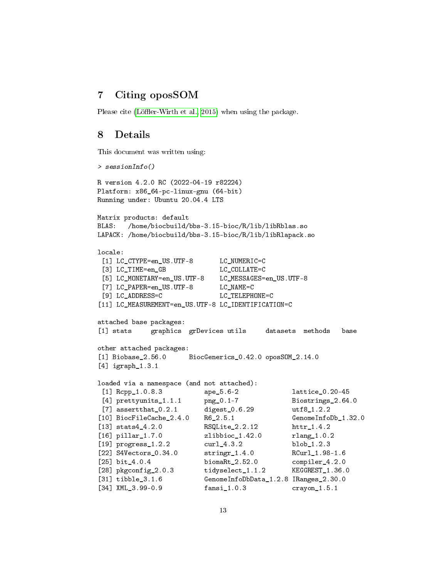## 7 Citing oposSOM

Please cite (Löffler-Wirth et al., 2015) when using the package.

### 8 Details

This document was written using:

```
> sessionInfo()
R version 4.2.0 RC (2022-04-19 r82224)
Platform: x86_64-pc-linux-gnu (64-bit)
Running under: Ubuntu 20.04.4 LTS
Matrix products: default
BLAS: /home/biocbuild/bbs-3.15-bioc/R/lib/libRblas.so
LAPACK: /home/biocbuild/bbs-3.15-bioc/R/lib/libRlapack.so
locale:
[1] LC_CTYPE=en_US.UTF-8 LC_NUMERIC=C
 [3] LC_TIME=en_GB LC_COLLATE=C
 [5] LC_MONETARY=en_US.UTF-8 LC_MESSAGES=en_US.UTF-8
 [7] LC_PAPER=en_US.UTF-8 LC_NAME=C
[9] LC_ADDRESS=C LC_TELEPHONE=C
[11] LC_MEASUREMENT=en_US.UTF-8 LC_IDENTIFICATION=C
attached base packages:
[1] stats graphics grDevices utils datasets methods base
other attached packages:
[1] Biobase_2.56.0 BiocGenerics_0.42.0 oposSOM_2.14.0
[4] igraph_1.3.1
loaded via a namespace (and not attached):
 [1] Rcpp_1.0.8.3 ape_5.6-2 lattice_0.20-45
 [4] prettyunits_1.1.1 png_0.1-7 Biostrings_2.64.0
[7] assertthat_0.2.1 digest_0.6.29 utf8_1.2.2
[10] BiocFileCache_2.4.0 R6_2.5.1 GenomeInfoDb_1.32.0
[13] stats4_4.2.0 RSQLite_2.2.12 httr_1.4.2
[16] pillar_1.7.0 zlibbioc_1.42.0 rlang_1.0.2
[19] progress_1.2.2 curl_4.3.2 blob_1.2.3
[22] S4Vectors_0.34.0 stringr_1.4.0 RCurl_1.98-1.6
[25] bit_4.0.4 biomaRt_2.52.0 compiler_4.2.0
[28] pkgconfig_2.0.3 tidyselect_1.1.2 KEGGREST_1.36.0
[31] tibble_3.1.6 GenomeInfoDbData_1.2.8 IRanges_2.30.0
[34] XML_3.99-0.9 fansi_1.0.3 crayon_1.5.1
```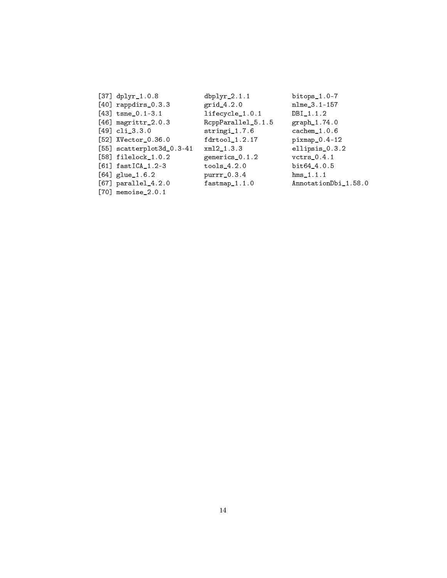| [37] $dplyr_1.0.8$                | $dbplyr_2.1.1$     | bitops $_1.0-7$      |
|-----------------------------------|--------------------|----------------------|
| $[40]$ rappdirs $[0.3.3]$         | $grid_4.2.0$       | nlme_3.1-157         |
| $[43]$ tsne_0.1-3.1               | lifecycle_1.0.1    | $DBI_1.1.2$          |
| $[46]$ magrittr <sub>-2.0.3</sub> | RcppParallel_5.1.5 | graph_1.74.0         |
| $[49]$ cli_3.3.0                  | $stringi_1.7.6$    | $cachem_1.0.6$       |
| [52] XVector_0.36.0               | $fdrtool_1.2.17$   | $pixmap_0.4-12$      |
| $[55]$ scatterplot3d_0.3-41       | xm12 1.3.3         | ellipsis_0.3.2       |
| $[58]$ filelock $_1.0.2$          | generics_0.1.2     | $vctrs_0.4.1$        |
| $[61]$ fastICA_1.2-3              | $tools_4.2.0$      | bit64 4.0.5          |
| $[64]$ glue $1.6.2$               | $purr_0.3.4$       | hms 1.1.1            |
| $[67]$ parallel_4.2.0             | $fastmap_1.1.0$    | AnnotationDbi_1.58.0 |
| $[70]$ memoise $2.0.1$            |                    |                      |